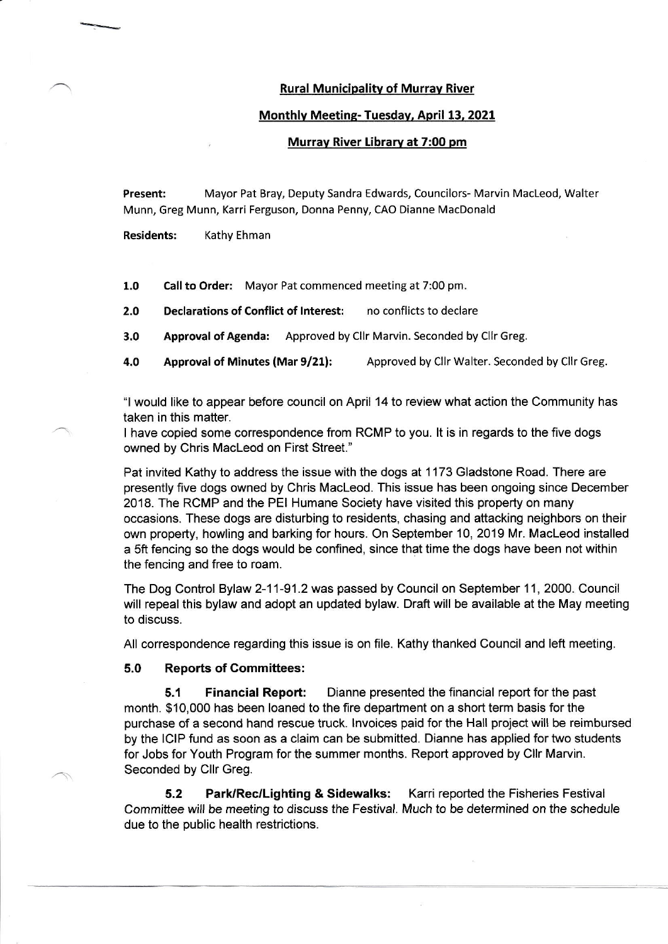## Rural Municipalitv of Murrav River

## Monthlv Meetinq- Tuesday, April 13, 2021

## Murrav River Librarv at 7:00 pm

Present: Mayor Pat Bray, Deputy Sandra Edwards, Councilors- Marvin MacLeod, Walter Munn, Greg Munn, Karri Ferguson, Donna Penny, cAO Dianne MacDonald

Residents: Kathy Ehman

1.0 Call to Order: Mayor Pat commenced meeting at 7:00 pm.

- 2.0 Declarations of Conflict of Interest: no conflicts to declare
- 3,0 Approval of Agenda: Approved by Cllr Marvin. Seconded by Cllr Greg.

4.0 Approval of Minutes (Mar 9/21): Approved by Cllr Walter. Seconded by Cllr Greg.

"I would like to appear before council on April 14 to review what action the Community has taken in this matter.

I have copied some corespondence from RCMP to you. lt is in regards to the five dogs owned by Chris Macleod on First Street."

Pat invited Kathy to address the issue with the dogs at 1173 Gladstone Road. There are presently five dogs owned by Chris Macleod. This issue has been ongoing since December 2018. The RCMP and the PEI Humane Society have visited this property on many occasions. These dogs are disturbing to residents, chasing and attacking neighbors on their own property, howling and barking for hours. On September 10, 2019 Mr. Macleod installed a 5ft fencing so the dogs would be confined, since that time the dogs have been not within the fencing and free to roam.

The Dog Control Bylaw 2-11-91.2 was passed by Council on September 11, 2000. Council will repeal this bylaw and adopt an updated bylaw. Draft will be available at the May meeting to discuss.

All correspondence regarding this issue is on file. Kathy thanked Council and left meeting.

5.0 Reports of Gommittees:

5.1 Financial Report: Dianne presented the financial report for the past month. \$10,000 has been loaned to the fire department on a short term basis for the purchase of a second hand rescue truck. lnvoices paid for the Hall project will be reimbursed by the lClP fund as soon as a claim can be submitted. Dianne has applied for two students for Jobs for Youth Program for the summer months. Report approved by Cllr Marvin. Seconded by Cllr Greg.

5.2 Park/Rec/Lighting & Sidewalks: Karri reported the Fisheries Festival Committee will be meeting to discuss the Festival. Much to be determined on the schedule due to the public health restrictions.